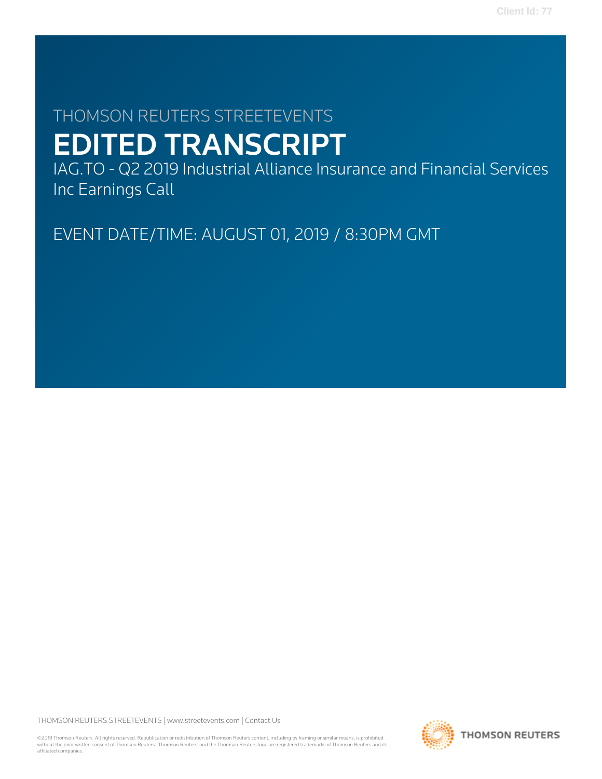# THOMSON REUTERS STREETEVENTS EDITED TRANSCRIPT

IAG.TO - Q2 2019 Industrial Alliance Insurance and Financial Services Inc Earnings Call

EVENT DATE/TIME: AUGUST 01, 2019 / 8:30PM GMT

THOMSON REUTERS STREETEVENTS | [www.streetevents.com](http://www.streetevents.com) | [Contact Us](http://www010.streetevents.com/contact.asp)

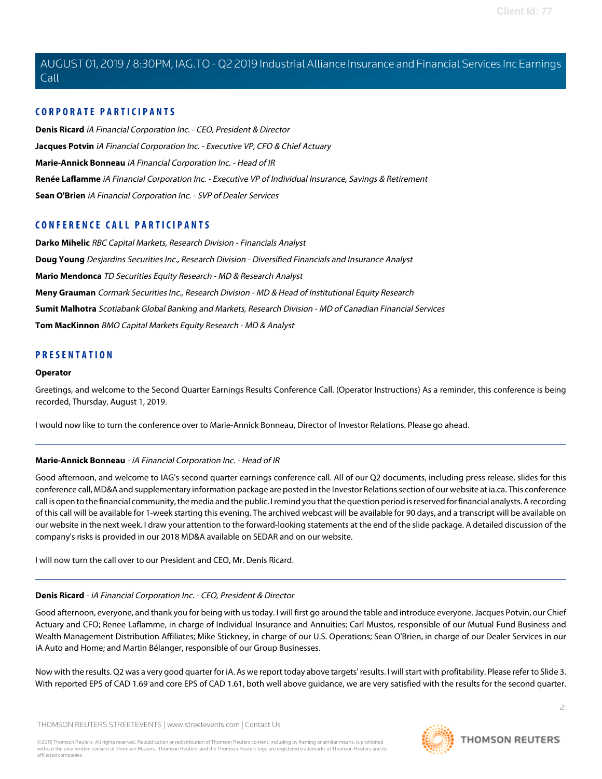# **CORPORATE PARTICIPANTS**

**[Denis Ricard](#page-1-0)** iA Financial Corporation Inc. - CEO, President & Director **[Jacques Potvin](#page-3-0)** iA Financial Corporation Inc. - Executive VP, CFO & Chief Actuary **[Marie-Annick Bonneau](#page-1-1)** iA Financial Corporation Inc. - Head of IR **[Renée Laflamme](#page-8-0)** iA Financial Corporation Inc. - Executive VP of Individual Insurance, Savings & Retirement **[Sean O'Brien](#page-6-0)** iA Financial Corporation Inc. - SVP of Dealer Services

# **CONFERENCE CALL PARTICIPANTS**

**[Darko Mihelic](#page-11-0)** RBC Capital Markets, Research Division - Financials Analyst **[Doug Young](#page-5-0)** Desjardins Securities Inc., Research Division - Diversified Financials and Insurance Analyst **[Mario Mendonca](#page-9-0)** TD Securities Equity Research - MD & Research Analyst **[Meny Grauman](#page-4-0)** Cormark Securities Inc., Research Division - MD & Head of Institutional Equity Research **[Sumit Malhotra](#page-10-0)** Scotiabank Global Banking and Markets, Research Division - MD of Canadian Financial Services **[Tom MacKinnon](#page-6-1)** BMO Capital Markets Equity Research - MD & Analyst

# **PRESENTATION**

#### **Operator**

Greetings, and welcome to the Second Quarter Earnings Results Conference Call. (Operator Instructions) As a reminder, this conference is being recorded, Thursday, August 1, 2019.

<span id="page-1-1"></span>I would now like to turn the conference over to Marie-Annick Bonneau, Director of Investor Relations. Please go ahead.

# **Marie-Annick Bonneau** - iA Financial Corporation Inc. - Head of IR

Good afternoon, and welcome to IAG's second quarter earnings conference call. All of our Q2 documents, including press release, slides for this conference call, MD&A and supplementary information package are posted in the Investor Relations section of our website at ia.ca. This conference call is open to the financial community, the media and the public. I remind you that the question period is reserved for financial analysts. A recording of this call will be available for 1-week starting this evening. The archived webcast will be available for 90 days, and a transcript will be available on our website in the next week. I draw your attention to the forward-looking statements at the end of the slide package. A detailed discussion of the company's risks is provided in our 2018 MD&A available on SEDAR and on our website.

<span id="page-1-0"></span>I will now turn the call over to our President and CEO, Mr. Denis Ricard.

# **Denis Ricard** - iA Financial Corporation Inc. - CEO, President & Director

Good afternoon, everyone, and thank you for being with us today. I will first go around the table and introduce everyone. Jacques Potvin, our Chief Actuary and CFO; Renee Laflamme, in charge of Individual Insurance and Annuities; Carl Mustos, responsible of our Mutual Fund Business and Wealth Management Distribution Affiliates; Mike Stickney, in charge of our U.S. Operations; Sean O'Brien, in charge of our Dealer Services in our iA Auto and Home; and Martin Bélanger, responsible of our Group Businesses.

Now with the results. Q2 was a very good quarter for iA. As we report today above targets' results. I will start with profitability. Please refer to Slide 3. With reported EPS of CAD 1.69 and core EPS of CAD 1.61, both well above guidance, we are very satisfied with the results for the second quarter.

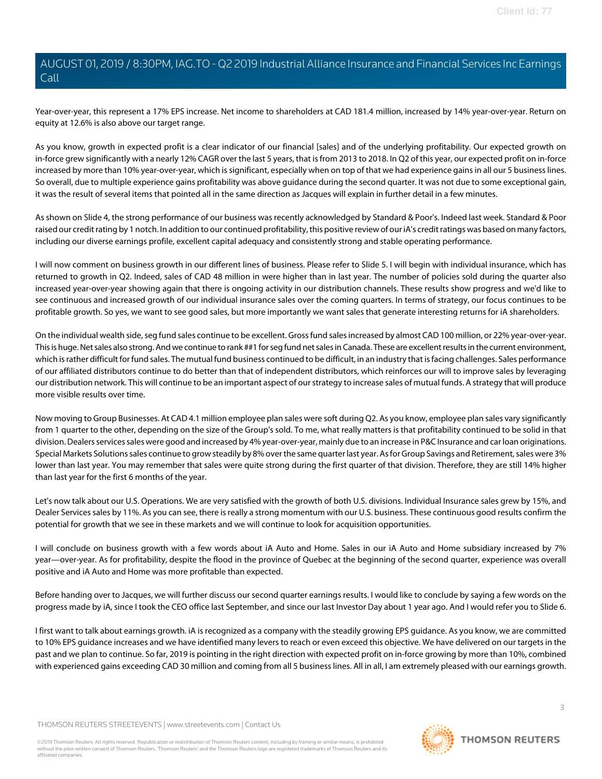Year-over-year, this represent a 17% EPS increase. Net income to shareholders at CAD 181.4 million, increased by 14% year-over-year. Return on equity at 12.6% is also above our target range.

As you know, growth in expected profit is a clear indicator of our financial [sales] and of the underlying profitability. Our expected growth on in-force grew significantly with a nearly 12% CAGR over the last 5 years, that is from 2013 to 2018. In Q2 of this year, our expected profit on in-force increased by more than 10% year-over-year, which is significant, especially when on top of that we had experience gains in all our 5 business lines. So overall, due to multiple experience gains profitability was above guidance during the second quarter. It was not due to some exceptional gain, it was the result of several items that pointed all in the same direction as Jacques will explain in further detail in a few minutes.

As shown on Slide 4, the strong performance of our business was recently acknowledged by Standard & Poor's. Indeed last week. Standard & Poor raised our credit rating by 1 notch. In addition to our continued profitability, this positive review of our iA's credit ratings was based on many factors, including our diverse earnings profile, excellent capital adequacy and consistently strong and stable operating performance.

I will now comment on business growth in our different lines of business. Please refer to Slide 5. I will begin with individual insurance, which has returned to growth in Q2. Indeed, sales of CAD 48 million in were higher than in last year. The number of policies sold during the quarter also increased year-over-year showing again that there is ongoing activity in our distribution channels. These results show progress and we'd like to see continuous and increased growth of our individual insurance sales over the coming quarters. In terms of strategy, our focus continues to be profitable growth. So yes, we want to see good sales, but more importantly we want sales that generate interesting returns for iA shareholders.

On the individual wealth side, seg fund sales continue to be excellent. Gross fund sales increased by almost CAD 100 million, or 22% year-over-year. This is huge. Net sales also strong. And we continue to rank ##1 for seg fund net sales in Canada. These are excellent results in the current environment, which is rather difficult for fund sales. The mutual fund business continued to be difficult, in an industry that is facing challenges. Sales performance of our affiliated distributors continue to do better than that of independent distributors, which reinforces our will to improve sales by leveraging our distribution network. This will continue to be an important aspect of our strategy to increase sales of mutual funds. A strategy that will produce more visible results over time.

Now moving to Group Businesses. At CAD 4.1 million employee plan sales were soft during Q2. As you know, employee plan sales vary significantly from 1 quarter to the other, depending on the size of the Group's sold. To me, what really matters is that profitability continued to be solid in that division. Dealers services sales were good and increased by 4% year-over-year, mainly due to an increase in P&C Insurance and car loan originations. Special Markets Solutions sales continue to grow steadily by 8% over the same quarter last year. As for Group Savings and Retirement, sales were 3% lower than last year. You may remember that sales were quite strong during the first quarter of that division. Therefore, they are still 14% higher than last year for the first 6 months of the year.

Let's now talk about our U.S. Operations. We are very satisfied with the growth of both U.S. divisions. Individual Insurance sales grew by 15%, and Dealer Services sales by 11%. As you can see, there is really a strong momentum with our U.S. business. These continuous good results confirm the potential for growth that we see in these markets and we will continue to look for acquisition opportunities.

I will conclude on business growth with a few words about iA Auto and Home. Sales in our iA Auto and Home subsidiary increased by 7% year—over-year. As for profitability, despite the flood in the province of Quebec at the beginning of the second quarter, experience was overall positive and iA Auto and Home was more profitable than expected.

Before handing over to Jacques, we will further discuss our second quarter earnings results. I would like to conclude by saying a few words on the progress made by iA, since I took the CEO office last September, and since our last Investor Day about 1 year ago. And I would refer you to Slide 6.

I first want to talk about earnings growth. iA is recognized as a company with the steadily growing EPS guidance. As you know, we are committed to 10% EPS guidance increases and we have identified many levers to reach or even exceed this objective. We have delivered on our targets in the past and we plan to continue. So far, 2019 is pointing in the right direction with expected profit on in-force growing by more than 10%, combined with experienced gains exceeding CAD 30 million and coming from all 5 business lines. All in all, I am extremely pleased with our earnings growth.

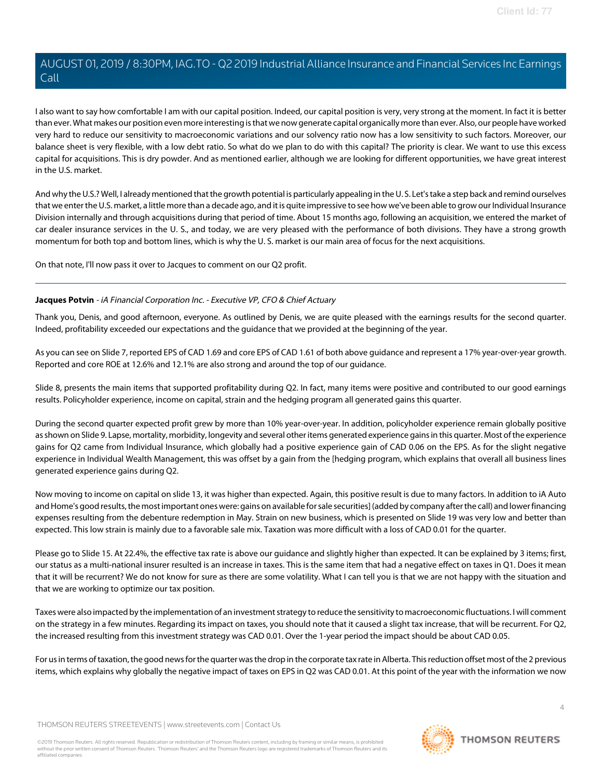I also want to say how comfortable I am with our capital position. Indeed, our capital position is very, very strong at the moment. In fact it is better than ever. What makes our position even more interesting is that we now generate capital organically more than ever. Also, our people have worked very hard to reduce our sensitivity to macroeconomic variations and our solvency ratio now has a low sensitivity to such factors. Moreover, our balance sheet is very flexible, with a low debt ratio. So what do we plan to do with this capital? The priority is clear. We want to use this excess capital for acquisitions. This is dry powder. And as mentioned earlier, although we are looking for different opportunities, we have great interest in the U.S. market.

And why the U.S.? Well, I already mentioned that the growth potential is particularly appealing in the U. S. Let's take a step back and remind ourselves that we enter the U.S. market, a little more than a decade ago, and it is quite impressive to see how we've been able to grow our Individual Insurance Division internally and through acquisitions during that period of time. About 15 months ago, following an acquisition, we entered the market of car dealer insurance services in the U. S., and today, we are very pleased with the performance of both divisions. They have a strong growth momentum for both top and bottom lines, which is why the U. S. market is our main area of focus for the next acquisitions.

<span id="page-3-0"></span>On that note, I'll now pass it over to Jacques to comment on our Q2 profit.

#### **Jacques Potvin** - iA Financial Corporation Inc. - Executive VP, CFO & Chief Actuary

Thank you, Denis, and good afternoon, everyone. As outlined by Denis, we are quite pleased with the earnings results for the second quarter. Indeed, profitability exceeded our expectations and the guidance that we provided at the beginning of the year.

As you can see on Slide 7, reported EPS of CAD 1.69 and core EPS of CAD 1.61 of both above guidance and represent a 17% year-over-year growth. Reported and core ROE at 12.6% and 12.1% are also strong and around the top of our guidance.

Slide 8, presents the main items that supported profitability during Q2. In fact, many items were positive and contributed to our good earnings results. Policyholder experience, income on capital, strain and the hedging program all generated gains this quarter.

During the second quarter expected profit grew by more than 10% year-over-year. In addition, policyholder experience remain globally positive as shown on Slide 9. Lapse, mortality, morbidity, longevity and several other items generated experience gains in this quarter. Most of the experience gains for Q2 came from Individual Insurance, which globally had a positive experience gain of CAD 0.06 on the EPS. As for the slight negative experience in Individual Wealth Management, this was offset by a gain from the [hedging program, which explains that overall all business lines generated experience gains during Q2.

Now moving to income on capital on slide 13, it was higher than expected. Again, this positive result is due to many factors. In addition to iA Auto and Home's good results, the most important ones were: gains on available for sale securities] (added by company after the call) and lower financing expenses resulting from the debenture redemption in May. Strain on new business, which is presented on Slide 19 was very low and better than expected. This low strain is mainly due to a favorable sale mix. Taxation was more difficult with a loss of CAD 0.01 for the quarter.

Please go to Slide 15. At 22.4%, the effective tax rate is above our guidance and slightly higher than expected. It can be explained by 3 items; first, our status as a multi-national insurer resulted is an increase in taxes. This is the same item that had a negative effect on taxes in Q1. Does it mean that it will be recurrent? We do not know for sure as there are some volatility. What I can tell you is that we are not happy with the situation and that we are working to optimize our tax position.

Taxes were also impacted by the implementation of an investment strategy to reduce the sensitivity to macroeconomic fluctuations. I will comment on the strategy in a few minutes. Regarding its impact on taxes, you should note that it caused a slight tax increase, that will be recurrent. For Q2, the increased resulting from this investment strategy was CAD 0.01. Over the 1-year period the impact should be about CAD 0.05.

For us in terms of taxation, the good news for the quarter was the drop in the corporate tax rate in Alberta. This reduction offset most of the 2 previous items, which explains why globally the negative impact of taxes on EPS in Q2 was CAD 0.01. At this point of the year with the information we now

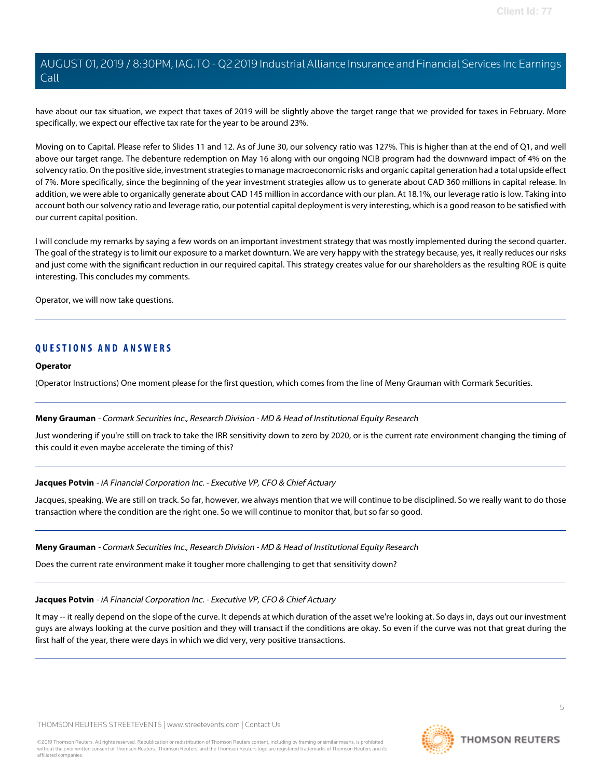have about our tax situation, we expect that taxes of 2019 will be slightly above the target range that we provided for taxes in February. More specifically, we expect our effective tax rate for the year to be around 23%.

Moving on to Capital. Please refer to Slides 11 and 12. As of June 30, our solvency ratio was 127%. This is higher than at the end of Q1, and well above our target range. The debenture redemption on May 16 along with our ongoing NCIB program had the downward impact of 4% on the solvency ratio. On the positive side, investment strategies to manage macroeconomic risks and organic capital generation had a total upside effect of 7%. More specifically, since the beginning of the year investment strategies allow us to generate about CAD 360 millions in capital release. In addition, we were able to organically generate about CAD 145 million in accordance with our plan. At 18.1%, our leverage ratio is low. Taking into account both our solvency ratio and leverage ratio, our potential capital deployment is very interesting, which is a good reason to be satisfied with our current capital position.

I will conclude my remarks by saying a few words on an important investment strategy that was mostly implemented during the second quarter. The goal of the strategy is to limit our exposure to a market downturn. We are very happy with the strategy because, yes, it really reduces our risks and just come with the significant reduction in our required capital. This strategy creates value for our shareholders as the resulting ROE is quite interesting. This concludes my comments.

Operator, we will now take questions.

# **QUESTIONS AND ANSWERS**

#### **Operator**

<span id="page-4-0"></span>(Operator Instructions) One moment please for the first question, which comes from the line of Meny Grauman with Cormark Securities.

#### **Meny Grauman** - Cormark Securities Inc., Research Division - MD & Head of Institutional Equity Research

Just wondering if you're still on track to take the IRR sensitivity down to zero by 2020, or is the current rate environment changing the timing of this could it even maybe accelerate the timing of this?

#### **Jacques Potvin** - iA Financial Corporation Inc. - Executive VP, CFO & Chief Actuary

Jacques, speaking. We are still on track. So far, however, we always mention that we will continue to be disciplined. So we really want to do those transaction where the condition are the right one. So we will continue to monitor that, but so far so good.

#### **Meny Grauman** - Cormark Securities Inc., Research Division - MD & Head of Institutional Equity Research

Does the current rate environment make it tougher more challenging to get that sensitivity down?

#### **Jacques Potvin** - iA Financial Corporation Inc. - Executive VP, CFO & Chief Actuary

It may -- it really depend on the slope of the curve. It depends at which duration of the asset we're looking at. So days in, days out our investment guys are always looking at the curve position and they will transact if the conditions are okay. So even if the curve was not that great during the first half of the year, there were days in which we did very, very positive transactions.

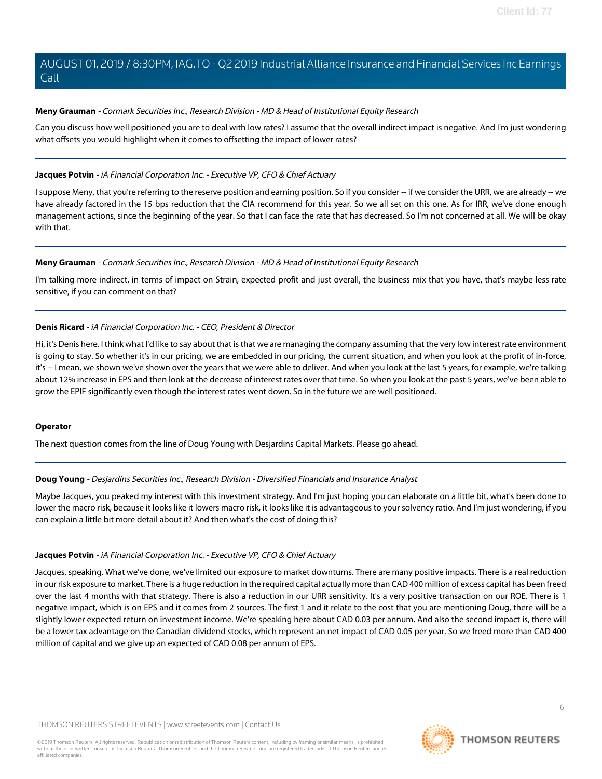#### **Meny Grauman** - Cormark Securities Inc., Research Division - MD & Head of Institutional Equity Research

Can you discuss how well positioned you are to deal with low rates? I assume that the overall indirect impact is negative. And I'm just wondering what offsets you would highlight when it comes to offsetting the impact of lower rates?

## **Jacques Potvin** - iA Financial Corporation Inc. - Executive VP, CFO & Chief Actuary

I suppose Meny, that you're referring to the reserve position and earning position. So if you consider -- if we consider the URR, we are already -- we have already factored in the 15 bps reduction that the CIA recommend for this year. So we all set on this one. As for IRR, we've done enough management actions, since the beginning of the year. So that I can face the rate that has decreased. So I'm not concerned at all. We will be okay with that.

#### **Meny Grauman** - Cormark Securities Inc., Research Division - MD & Head of Institutional Equity Research

I'm talking more indirect, in terms of impact on Strain, expected profit and just overall, the business mix that you have, that's maybe less rate sensitive, if you can comment on that?

## **Denis Ricard** - iA Financial Corporation Inc. - CEO, President & Director

Hi, it's Denis here. I think what I'd like to say about that is that we are managing the company assuming that the very low interest rate environment is going to stay. So whether it's in our pricing, we are embedded in our pricing, the current situation, and when you look at the profit of in-force, it's -- I mean, we shown we've shown over the years that we were able to deliver. And when you look at the last 5 years, for example, we're talking about 12% increase in EPS and then look at the decrease of interest rates over that time. So when you look at the past 5 years, we've been able to grow the EPIF significantly even though the interest rates went down. So in the future we are well positioned.

#### <span id="page-5-0"></span>**Operator**

The next question comes from the line of Doug Young with Desjardins Capital Markets. Please go ahead.

#### **Doug Young** - Desjardins Securities Inc., Research Division - Diversified Financials and Insurance Analyst

Maybe Jacques, you peaked my interest with this investment strategy. And I'm just hoping you can elaborate on a little bit, what's been done to lower the macro risk, because it looks like it lowers macro risk, it looks like it is advantageous to your solvency ratio. And I'm just wondering, if you can explain a little bit more detail about it? And then what's the cost of doing this?

#### **Jacques Potvin** - iA Financial Corporation Inc. - Executive VP, CFO & Chief Actuary

Jacques, speaking. What we've done, we've limited our exposure to market downturns. There are many positive impacts. There is a real reduction in our risk exposure to market. There is a huge reduction in the required capital actually more than CAD 400 million of excess capital has been freed over the last 4 months with that strategy. There is also a reduction in our URR sensitivity. It's a very positive transaction on our ROE. There is 1 negative impact, which is on EPS and it comes from 2 sources. The first 1 and it relate to the cost that you are mentioning Doug, there will be a slightly lower expected return on investment income. We're speaking here about CAD 0.03 per annum. And also the second impact is, there will be a lower tax advantage on the Canadian dividend stocks, which represent an net impact of CAD 0.05 per year. So we freed more than CAD 400 million of capital and we give up an expected of CAD 0.08 per annum of EPS.

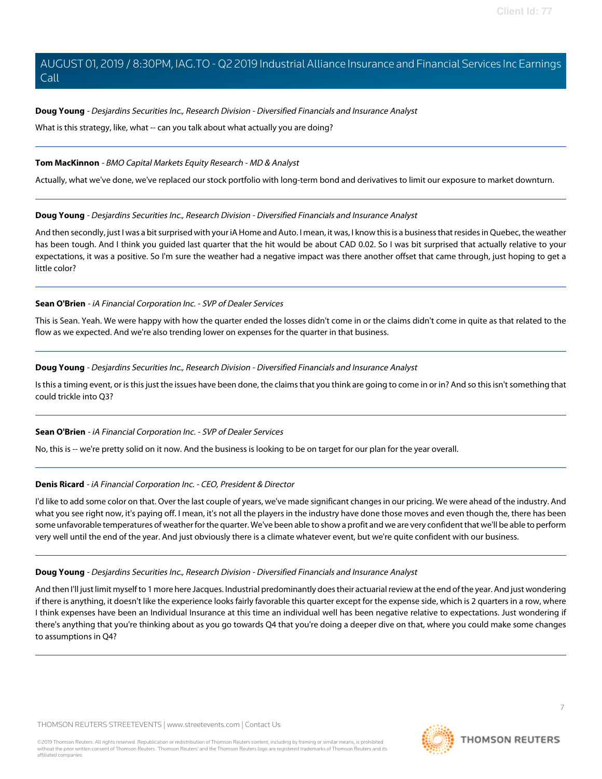## **Doug Young** - Desjardins Securities Inc., Research Division - Diversified Financials and Insurance Analyst

What is this strategy, like, what -- can you talk about what actually you are doing?

#### <span id="page-6-1"></span>**Tom MacKinnon** - BMO Capital Markets Equity Research - MD & Analyst

Actually, what we've done, we've replaced our stock portfolio with long-term bond and derivatives to limit our exposure to market downturn.

#### **Doug Young** - Desjardins Securities Inc., Research Division - Diversified Financials and Insurance Analyst

And then secondly, just I was a bit surprised with your iA Home and Auto. I mean, it was, I know this is a business that resides in Quebec, the weather has been tough. And I think you guided last quarter that the hit would be about CAD 0.02. So I was bit surprised that actually relative to your expectations, it was a positive. So I'm sure the weather had a negative impact was there another offset that came through, just hoping to get a little color?

## <span id="page-6-0"></span>**Sean O'Brien** - iA Financial Corporation Inc. - SVP of Dealer Services

This is Sean. Yeah. We were happy with how the quarter ended the losses didn't come in or the claims didn't come in quite as that related to the flow as we expected. And we're also trending lower on expenses for the quarter in that business.

## **Doug Young** - Desjardins Securities Inc., Research Division - Diversified Financials and Insurance Analyst

Is this a timing event, or is this just the issues have been done, the claims that you think are going to come in or in? And so this isn't something that could trickle into Q3?

# **Sean O'Brien** - iA Financial Corporation Inc. - SVP of Dealer Services

No, this is -- we're pretty solid on it now. And the business is looking to be on target for our plan for the year overall.

#### **Denis Ricard** - iA Financial Corporation Inc. - CEO, President & Director

I'd like to add some color on that. Over the last couple of years, we've made significant changes in our pricing. We were ahead of the industry. And what you see right now, it's paying off. I mean, it's not all the players in the industry have done those moves and even though the, there has been some unfavorable temperatures of weather for the quarter. We've been able to show a profit and we are very confident that we'll be able to perform very well until the end of the year. And just obviously there is a climate whatever event, but we're quite confident with our business.

#### **Doug Young** - Desjardins Securities Inc., Research Division - Diversified Financials and Insurance Analyst

And then I'll just limit myself to 1 more here Jacques. Industrial predominantly does their actuarial review at the end of the year. And just wondering if there is anything, it doesn't like the experience looks fairly favorable this quarter except for the expense side, which is 2 quarters in a row, where I think expenses have been an Individual Insurance at this time an individual well has been negative relative to expectations. Just wondering if there's anything that you're thinking about as you go towards Q4 that you're doing a deeper dive on that, where you could make some changes to assumptions in Q4?

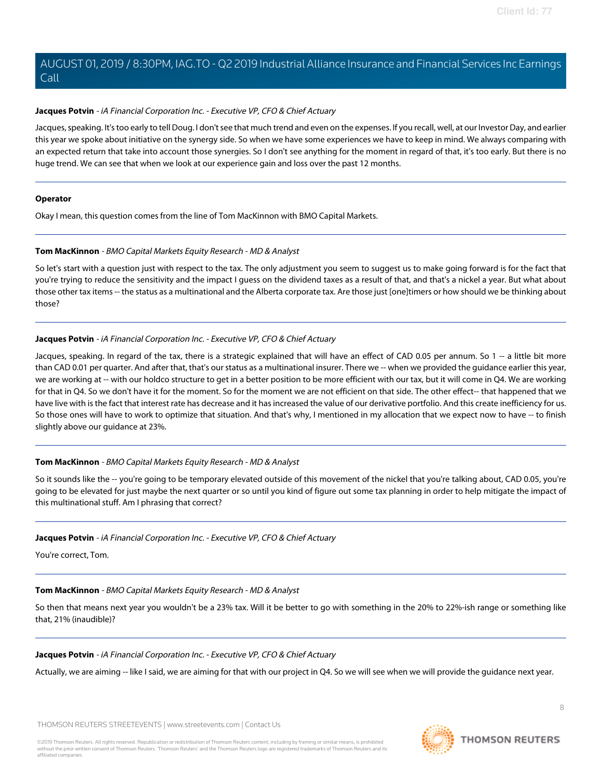#### **Jacques Potvin** - iA Financial Corporation Inc. - Executive VP, CFO & Chief Actuary

Jacques, speaking. It's too early to tell Doug. I don't see that much trend and even on the expenses. If you recall, well, at our Investor Day, and earlier this year we spoke about initiative on the synergy side. So when we have some experiences we have to keep in mind. We always comparing with an expected return that take into account those synergies. So I don't see anything for the moment in regard of that, it's too early. But there is no huge trend. We can see that when we look at our experience gain and loss over the past 12 months.

#### **Operator**

Okay I mean, this question comes from the line of Tom MacKinnon with BMO Capital Markets.

#### **Tom MacKinnon** - BMO Capital Markets Equity Research - MD & Analyst

So let's start with a question just with respect to the tax. The only adjustment you seem to suggest us to make going forward is for the fact that you're trying to reduce the sensitivity and the impact I guess on the dividend taxes as a result of that, and that's a nickel a year. But what about those other tax items -- the status as a multinational and the Alberta corporate tax. Are those just [one]timers or how should we be thinking about those?

#### **Jacques Potvin** - iA Financial Corporation Inc. - Executive VP, CFO & Chief Actuary

Jacques, speaking. In regard of the tax, there is a strategic explained that will have an effect of CAD 0.05 per annum. So 1 -- a little bit more than CAD 0.01 per quarter. And after that, that's our status as a multinational insurer. There we -- when we provided the guidance earlier this year, we are working at -- with our holdco structure to get in a better position to be more efficient with our tax, but it will come in Q4. We are working for that in Q4. So we don't have it for the moment. So for the moment we are not efficient on that side. The other effect-- that happened that we have live with is the fact that interest rate has decrease and it has increased the value of our derivative portfolio. And this create inefficiency for us. So those ones will have to work to optimize that situation. And that's why, I mentioned in my allocation that we expect now to have -- to finish slightly above our guidance at 23%.

#### **Tom MacKinnon** - BMO Capital Markets Equity Research - MD & Analyst

So it sounds like the -- you're going to be temporary elevated outside of this movement of the nickel that you're talking about, CAD 0.05, you're going to be elevated for just maybe the next quarter or so until you kind of figure out some tax planning in order to help mitigate the impact of this multinational stuff. Am I phrasing that correct?

#### **Jacques Potvin** - iA Financial Corporation Inc. - Executive VP, CFO & Chief Actuary

You're correct, Tom.

# **Tom MacKinnon** - BMO Capital Markets Equity Research - MD & Analyst

So then that means next year you wouldn't be a 23% tax. Will it be better to go with something in the 20% to 22%-ish range or something like that, 21% (inaudible)?

# **Jacques Potvin** - iA Financial Corporation Inc. - Executive VP, CFO & Chief Actuary

Actually, we are aiming -- like I said, we are aiming for that with our project in Q4. So we will see when we will provide the guidance next year.

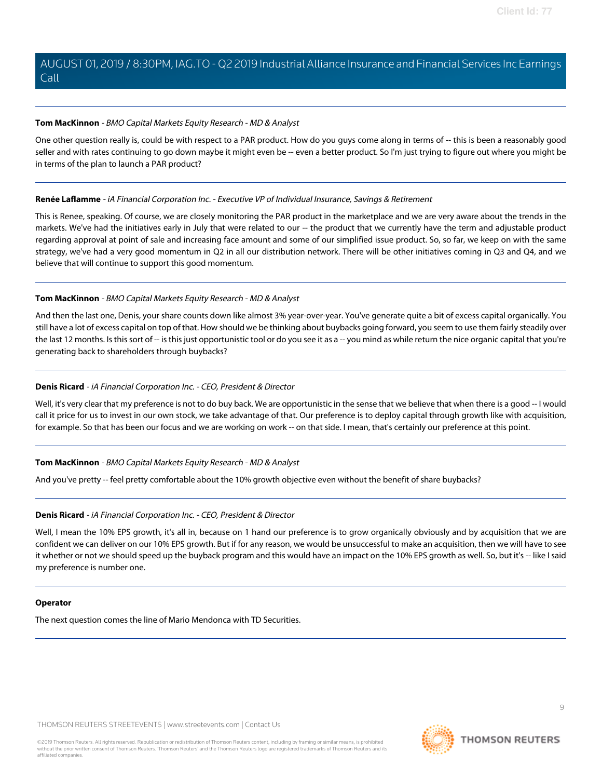#### **Tom MacKinnon** - BMO Capital Markets Equity Research - MD & Analyst

One other question really is, could be with respect to a PAR product. How do you guys come along in terms of -- this is been a reasonably good seller and with rates continuing to go down maybe it might even be -- even a better product. So I'm just trying to figure out where you might be in terms of the plan to launch a PAR product?

#### <span id="page-8-0"></span>**Renée Laflamme** - iA Financial Corporation Inc. - Executive VP of Individual Insurance, Savings & Retirement

This is Renee, speaking. Of course, we are closely monitoring the PAR product in the marketplace and we are very aware about the trends in the markets. We've had the initiatives early in July that were related to our -- the product that we currently have the term and adjustable product regarding approval at point of sale and increasing face amount and some of our simplified issue product. So, so far, we keep on with the same strategy, we've had a very good momentum in Q2 in all our distribution network. There will be other initiatives coming in Q3 and Q4, and we believe that will continue to support this good momentum.

#### **Tom MacKinnon** - BMO Capital Markets Equity Research - MD & Analyst

And then the last one, Denis, your share counts down like almost 3% year-over-year. You've generate quite a bit of excess capital organically. You still have a lot of excess capital on top of that. How should we be thinking about buybacks going forward, you seem to use them fairly steadily over the last 12 months. Is this sort of -- is this just opportunistic tool or do you see it as a -- you mind as while return the nice organic capital that you're generating back to shareholders through buybacks?

## **Denis Ricard** - iA Financial Corporation Inc. - CEO, President & Director

Well, it's very clear that my preference is not to do buy back. We are opportunistic in the sense that we believe that when there is a good -- I would call it price for us to invest in our own stock, we take advantage of that. Our preference is to deploy capital through growth like with acquisition, for example. So that has been our focus and we are working on work -- on that side. I mean, that's certainly our preference at this point.

# **Tom MacKinnon** - BMO Capital Markets Equity Research - MD & Analyst

And you've pretty -- feel pretty comfortable about the 10% growth objective even without the benefit of share buybacks?

#### **Denis Ricard** - iA Financial Corporation Inc. - CEO, President & Director

Well, I mean the 10% EPS growth, it's all in, because on 1 hand our preference is to grow organically obviously and by acquisition that we are confident we can deliver on our 10% EPS growth. But if for any reason, we would be unsuccessful to make an acquisition, then we will have to see it whether or not we should speed up the buyback program and this would have an impact on the 10% EPS growth as well. So, but it's -- like I said my preference is number one.

#### **Operator**

The next question comes the line of Mario Mendonca with TD Securities.

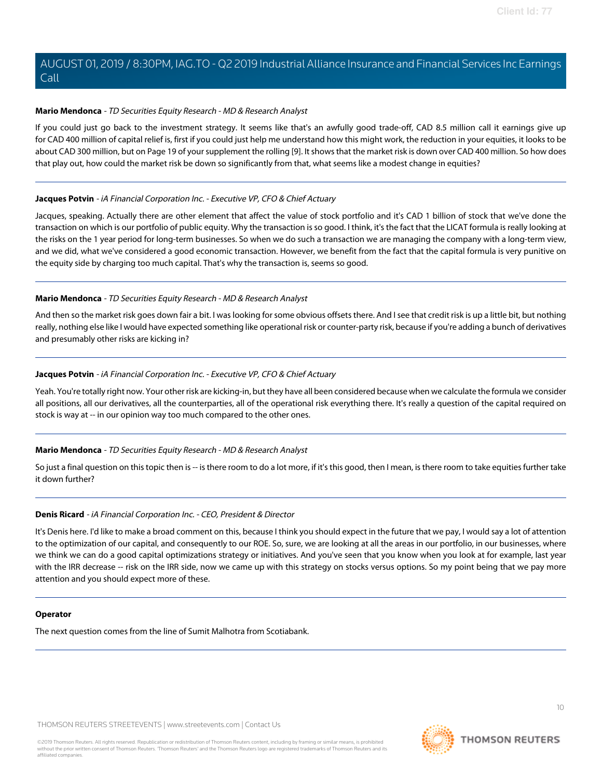#### <span id="page-9-0"></span>**Mario Mendonca** - TD Securities Equity Research - MD & Research Analyst

If you could just go back to the investment strategy. It seems like that's an awfully good trade-off, CAD 8.5 million call it earnings give up for CAD 400 million of capital relief is, first if you could just help me understand how this might work, the reduction in your equities, it looks to be about CAD 300 million, but on Page 19 of your supplement the rolling [9]. It shows that the market risk is down over CAD 400 million. So how does that play out, how could the market risk be down so significantly from that, what seems like a modest change in equities?

#### **Jacques Potvin** - iA Financial Corporation Inc. - Executive VP, CFO & Chief Actuary

Jacques, speaking. Actually there are other element that affect the value of stock portfolio and it's CAD 1 billion of stock that we've done the transaction on which is our portfolio of public equity. Why the transaction is so good. I think, it's the fact that the LICAT formula is really looking at the risks on the 1 year period for long-term businesses. So when we do such a transaction we are managing the company with a long-term view, and we did, what we've considered a good economic transaction. However, we benefit from the fact that the capital formula is very punitive on the equity side by charging too much capital. That's why the transaction is, seems so good.

## **Mario Mendonca** - TD Securities Equity Research - MD & Research Analyst

And then so the market risk goes down fair a bit. I was looking for some obvious offsets there. And I see that credit risk is up a little bit, but nothing really, nothing else like I would have expected something like operational risk or counter-party risk, because if you're adding a bunch of derivatives and presumably other risks are kicking in?

#### **Jacques Potvin** - iA Financial Corporation Inc. - Executive VP, CFO & Chief Actuary

Yeah. You're totally right now. Your other risk are kicking-in, but they have all been considered because when we calculate the formula we consider all positions, all our derivatives, all the counterparties, all of the operational risk everything there. It's really a question of the capital required on stock is way at -- in our opinion way too much compared to the other ones.

# **Mario Mendonca** - TD Securities Equity Research - MD & Research Analyst

So just a final question on this topic then is -- is there room to do a lot more, if it's this good, then I mean, is there room to take equities further take it down further?

# **Denis Ricard** - iA Financial Corporation Inc. - CEO, President & Director

It's Denis here. I'd like to make a broad comment on this, because I think you should expect in the future that we pay, I would say a lot of attention to the optimization of our capital, and consequently to our ROE. So, sure, we are looking at all the areas in our portfolio, in our businesses, where we think we can do a good capital optimizations strategy or initiatives. And you've seen that you know when you look at for example, last year with the IRR decrease -- risk on the IRR side, now we came up with this strategy on stocks versus options. So my point being that we pay more attention and you should expect more of these.

#### **Operator**

The next question comes from the line of Sumit Malhotra from Scotiabank.

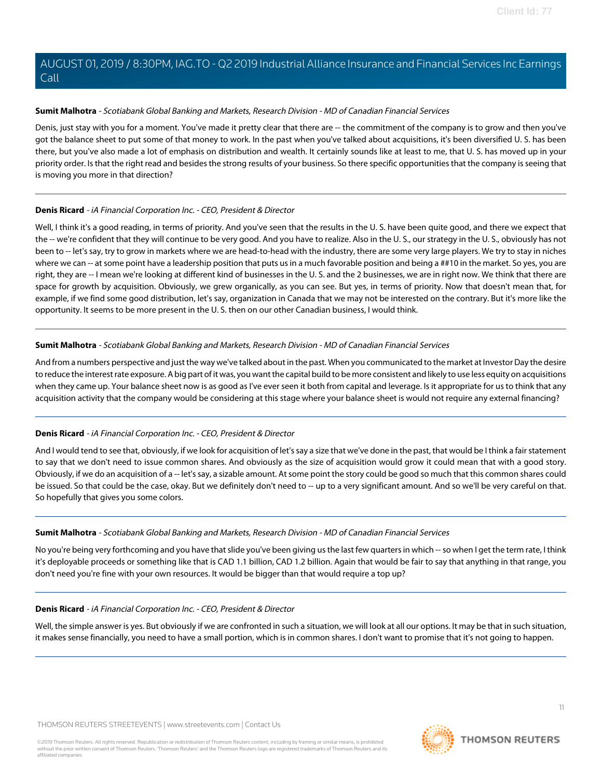## <span id="page-10-0"></span>**Sumit Malhotra** - Scotiabank Global Banking and Markets, Research Division - MD of Canadian Financial Services

Denis, just stay with you for a moment. You've made it pretty clear that there are -- the commitment of the company is to grow and then you've got the balance sheet to put some of that money to work. In the past when you've talked about acquisitions, it's been diversified U. S. has been there, but you've also made a lot of emphasis on distribution and wealth. It certainly sounds like at least to me, that U. S. has moved up in your priority order. Is that the right read and besides the strong results of your business. So there specific opportunities that the company is seeing that is moving you more in that direction?

## **Denis Ricard** - iA Financial Corporation Inc. - CEO, President & Director

Well, I think it's a good reading, in terms of priority. And you've seen that the results in the U. S. have been quite good, and there we expect that the -- we're confident that they will continue to be very good. And you have to realize. Also in the U. S., our strategy in the U. S., obviously has not been to -- let's say, try to grow in markets where we are head-to-head with the industry, there are some very large players. We try to stay in niches where we can -- at some point have a leadership position that puts us in a much favorable position and being a ##10 in the market. So yes, you are right, they are -- I mean we're looking at different kind of businesses in the U. S. and the 2 businesses, we are in right now. We think that there are space for growth by acquisition. Obviously, we grew organically, as you can see. But yes, in terms of priority. Now that doesn't mean that, for example, if we find some good distribution, let's say, organization in Canada that we may not be interested on the contrary. But it's more like the opportunity. It seems to be more present in the U. S. then on our other Canadian business, I would think.

## **Sumit Malhotra** - Scotiabank Global Banking and Markets, Research Division - MD of Canadian Financial Services

And from a numbers perspective and just the way we've talked about in the past. When you communicated to the market at Investor Day the desire to reduce the interest rate exposure. A big part of it was, you want the capital build to be more consistent and likely to use less equity on acquisitions when they came up. Your balance sheet now is as good as I've ever seen it both from capital and leverage. Is it appropriate for us to think that any acquisition activity that the company would be considering at this stage where your balance sheet is would not require any external financing?

# **Denis Ricard** - iA Financial Corporation Inc. - CEO, President & Director

And I would tend to see that, obviously, if we look for acquisition of let's say a size that we've done in the past, that would be I think a fair statement to say that we don't need to issue common shares. And obviously as the size of acquisition would grow it could mean that with a good story. Obviously, if we do an acquisition of a -- let's say, a sizable amount. At some point the story could be good so much that this common shares could be issued. So that could be the case, okay. But we definitely don't need to -- up to a very significant amount. And so we'll be very careful on that. So hopefully that gives you some colors.

# **Sumit Malhotra** - Scotiabank Global Banking and Markets, Research Division - MD of Canadian Financial Services

No you're being very forthcoming and you have that slide you've been giving us the last few quarters in which -- so when I get the term rate, I think it's deployable proceeds or something like that is CAD 1.1 billion, CAD 1.2 billion. Again that would be fair to say that anything in that range, you don't need you're fine with your own resources. It would be bigger than that would require a top up?

# **Denis Ricard** - iA Financial Corporation Inc. - CEO, President & Director

Well, the simple answer is yes. But obviously if we are confronted in such a situation, we will look at all our options. It may be that in such situation, it makes sense financially, you need to have a small portion, which is in common shares. I don't want to promise that it's not going to happen.

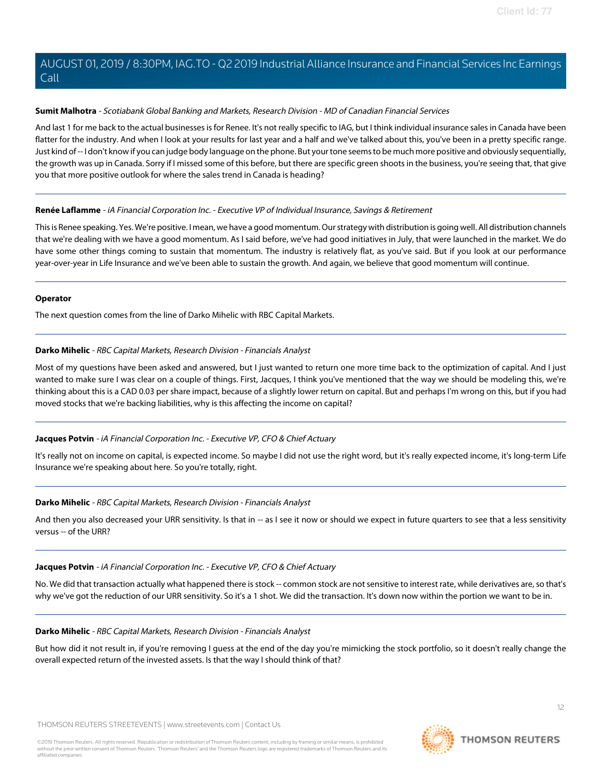## **Sumit Malhotra** - Scotiabank Global Banking and Markets, Research Division - MD of Canadian Financial Services

And last 1 for me back to the actual businesses is for Renee. It's not really specific to IAG, but I think individual insurance sales in Canada have been flatter for the industry. And when I look at your results for last year and a half and we've talked about this, you've been in a pretty specific range. Just kind of -- I don't know if you can judge body language on the phone. But your tone seems to be much more positive and obviously sequentially, the growth was up in Canada. Sorry if I missed some of this before, but there are specific green shoots in the business, you're seeing that, that give you that more positive outlook for where the sales trend in Canada is heading?

## **Renée Laflamme** - iA Financial Corporation Inc. - Executive VP of Individual Insurance, Savings & Retirement

This is Renee speaking. Yes. We're positive. I mean, we have a good momentum. Our strategy with distribution is going well. All distribution channels that we're dealing with we have a good momentum. As I said before, we've had good initiatives in July, that were launched in the market. We do have some other things coming to sustain that momentum. The industry is relatively flat, as you've said. But if you look at our performance year-over-year in Life Insurance and we've been able to sustain the growth. And again, we believe that good momentum will continue.

## **Operator**

<span id="page-11-0"></span>The next question comes from the line of Darko Mihelic with RBC Capital Markets.

# **Darko Mihelic** - RBC Capital Markets, Research Division - Financials Analyst

Most of my questions have been asked and answered, but I just wanted to return one more time back to the optimization of capital. And I just wanted to make sure I was clear on a couple of things. First, Jacques, I think you've mentioned that the way we should be modeling this, we're thinking about this is a CAD 0.03 per share impact, because of a slightly lower return on capital. But and perhaps I'm wrong on this, but if you had moved stocks that we're backing liabilities, why is this affecting the income on capital?

# **Jacques Potvin** - iA Financial Corporation Inc. - Executive VP, CFO & Chief Actuary

It's really not on income on capital, is expected income. So maybe I did not use the right word, but it's really expected income, it's long-term Life Insurance we're speaking about here. So you're totally, right.

# **Darko Mihelic** - RBC Capital Markets, Research Division - Financials Analyst

And then you also decreased your URR sensitivity. Is that in -- as I see it now or should we expect in future quarters to see that a less sensitivity versus -- of the URR?

# **Jacques Potvin** - iA Financial Corporation Inc. - Executive VP, CFO & Chief Actuary

No. We did that transaction actually what happened there is stock -- common stock are not sensitive to interest rate, while derivatives are, so that's why we've got the reduction of our URR sensitivity. So it's a 1 shot. We did the transaction. It's down now within the portion we want to be in.

# **Darko Mihelic** - RBC Capital Markets, Research Division - Financials Analyst

But how did it not result in, if you're removing I guess at the end of the day you're mimicking the stock portfolio, so it doesn't really change the overall expected return of the invested assets. Is that the way I should think of that?

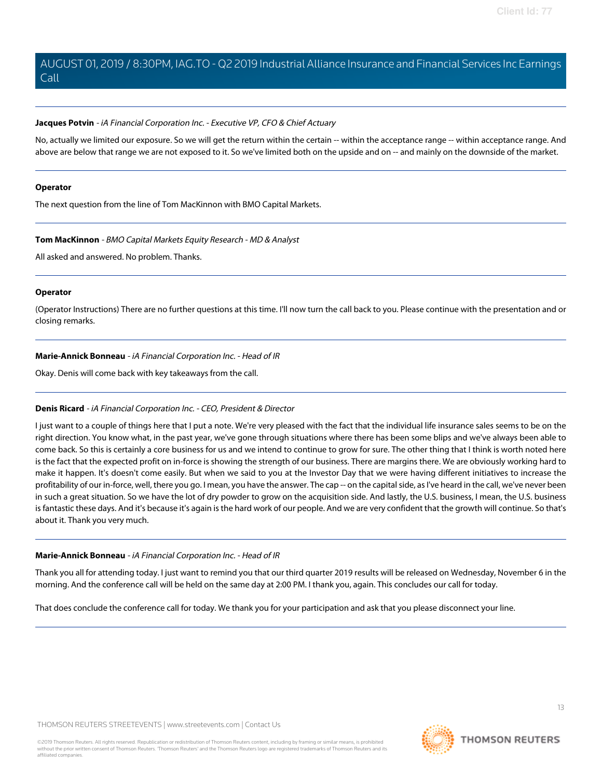#### **Jacques Potvin** - iA Financial Corporation Inc. - Executive VP, CFO & Chief Actuary

No, actually we limited our exposure. So we will get the return within the certain -- within the acceptance range -- within acceptance range. And above are below that range we are not exposed to it. So we've limited both on the upside and on -- and mainly on the downside of the market.

#### **Operator**

The next question from the line of Tom MacKinnon with BMO Capital Markets.

#### **Tom MacKinnon** - BMO Capital Markets Equity Research - MD & Analyst

All asked and answered. No problem. Thanks.

#### **Operator**

(Operator Instructions) There are no further questions at this time. I'll now turn the call back to you. Please continue with the presentation and or closing remarks.

## **Marie-Annick Bonneau** - iA Financial Corporation Inc. - Head of IR

Okay. Denis will come back with key takeaways from the call.

# **Denis Ricard** - iA Financial Corporation Inc. - CEO, President & Director

I just want to a couple of things here that I put a note. We're very pleased with the fact that the individual life insurance sales seems to be on the right direction. You know what, in the past year, we've gone through situations where there has been some blips and we've always been able to come back. So this is certainly a core business for us and we intend to continue to grow for sure. The other thing that I think is worth noted here is the fact that the expected profit on in-force is showing the strength of our business. There are margins there. We are obviously working hard to make it happen. It's doesn't come easily. But when we said to you at the Investor Day that we were having different initiatives to increase the profitability of our in-force, well, there you go. I mean, you have the answer. The cap -- on the capital side, as I've heard in the call, we've never been in such a great situation. So we have the lot of dry powder to grow on the acquisition side. And lastly, the U.S. business, I mean, the U.S. business is fantastic these days. And it's because it's again is the hard work of our people. And we are very confident that the growth will continue. So that's about it. Thank you very much.

#### **Marie-Annick Bonneau** - iA Financial Corporation Inc. - Head of IR

Thank you all for attending today. I just want to remind you that our third quarter 2019 results will be released on Wednesday, November 6 in the morning. And the conference call will be held on the same day at 2:00 PM. I thank you, again. This concludes our call for today.

That does conclude the conference call for today. We thank you for your participation and ask that you please disconnect your line.